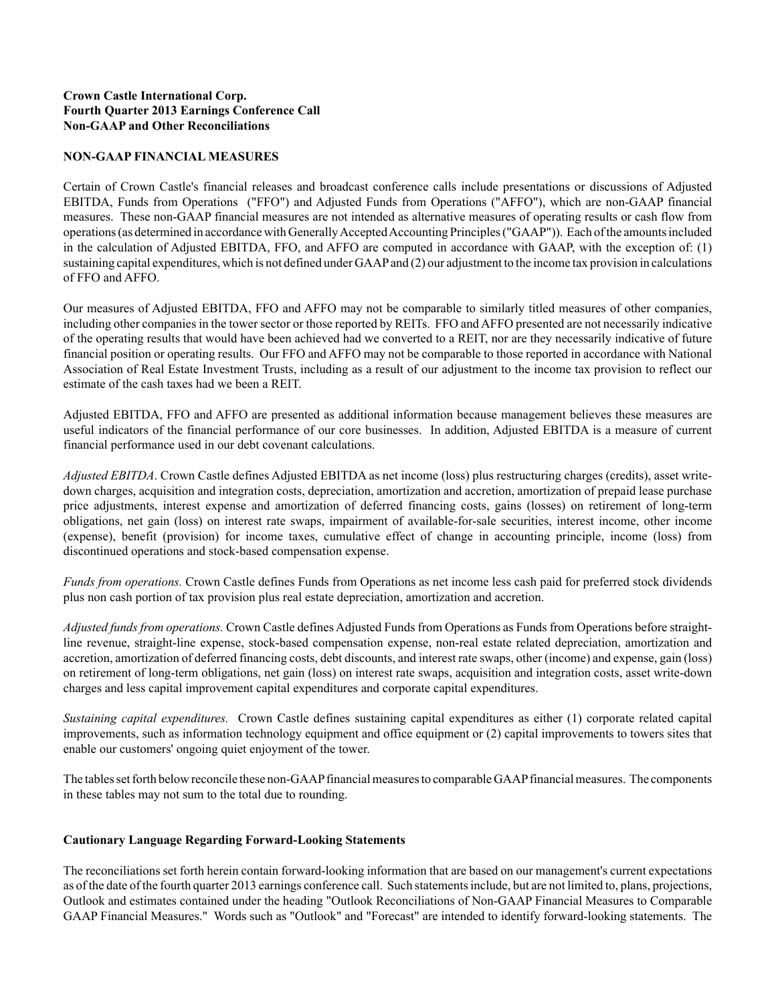## **Crown Castle International Corp. Fourth Quarter 2013 Earnings Conference Call Non-GAAP and Other Reconciliations**

## **NON-GAAP FINANCIAL MEASURES**

Certain of Crown Castle's financial releases and broadcast conference calls include presentations or discussions of Adjusted EBITDA, Funds from Operations ("FFO") and Adjusted Funds from Operations ("AFFO"), which are non-GAAP financial measures. These non-GAAP financial measures are not intended as alternative measures of operating results or cash flow from operations (as determined in accordance with Generally Accepted Accounting Principles ("GAAP")). Each of the amounts included in the calculation of Adjusted EBITDA, FFO, and AFFO are computed in accordance with GAAP, with the exception of: (1) sustaining capital expenditures, which is not defined under GAAPand (2) our adjustment to the income tax provision in calculations of FFO and AFFO.

Our measures of Adjusted EBITDA, FFO and AFFO may not be comparable to similarly titled measures of other companies, including other companies in the tower sector or those reported by REITs. FFO and AFFO presented are not necessarily indicative of the operating results that would have been achieved had we converted to a REIT, nor are they necessarily indicative of future financial position or operating results. Our FFO and AFFO may not be comparable to those reported in accordance with National Association of Real Estate Investment Trusts, including as a result of our adjustment to the income tax provision to reflect our estimate of the cash taxes had we been a REIT.

Adjusted EBITDA, FFO and AFFO are presented as additional information because management believes these measures are useful indicators of the financial performance of our core businesses. In addition, Adjusted EBITDA is a measure of current financial performance used in our debt covenant calculations.

*Adjusted EBITDA*. Crown Castle defines Adjusted EBITDA as net income (loss) plus restructuring charges (credits), asset writedown charges, acquisition and integration costs, depreciation, amortization and accretion, amortization of prepaid lease purchase price adjustments, interest expense and amortization of deferred financing costs, gains (losses) on retirement of long-term obligations, net gain (loss) on interest rate swaps, impairment of available-for-sale securities, interest income, other income (expense), benefit (provision) for income taxes, cumulative effect of change in accounting principle, income (loss) from discontinued operations and stock-based compensation expense.

*Funds from operations.* Crown Castle defines Funds from Operations as net income less cash paid for preferred stock dividends plus non cash portion of tax provision plus real estate depreciation, amortization and accretion.

*Adjusted funds from operations.* Crown Castle defines Adjusted Funds from Operations as Funds from Operations before straightline revenue, straight-line expense, stock-based compensation expense, non-real estate related depreciation, amortization and accretion, amortization of deferred financing costs, debt discounts, and interest rate swaps, other (income) and expense, gain (loss) on retirement of long-term obligations, net gain (loss) on interest rate swaps, acquisition and integration costs, asset write-down charges and less capital improvement capital expenditures and corporate capital expenditures.

*Sustaining capital expenditures.* Crown Castle defines sustaining capital expenditures as either (1) corporate related capital improvements, such as information technology equipment and office equipment or (2) capital improvements to towers sites that enable our customers' ongoing quiet enjoyment of the tower.

The tables set forth below reconcile these non-GAAPfinancial measures to comparable GAAPfinancial measures. The components in these tables may not sum to the total due to rounding.

## **Cautionary Language Regarding Forward-Looking Statements**

The reconciliations set forth herein contain forward-looking information that are based on our management's current expectations as of the date of the fourth quarter 2013 earnings conference call. Such statements include, but are not limited to, plans, projections, Outlook and estimates contained under the heading "Outlook Reconciliations of Non-GAAP Financial Measures to Comparable GAAP Financial Measures." Words such as "Outlook" and "Forecast" are intended to identify forward-looking statements. The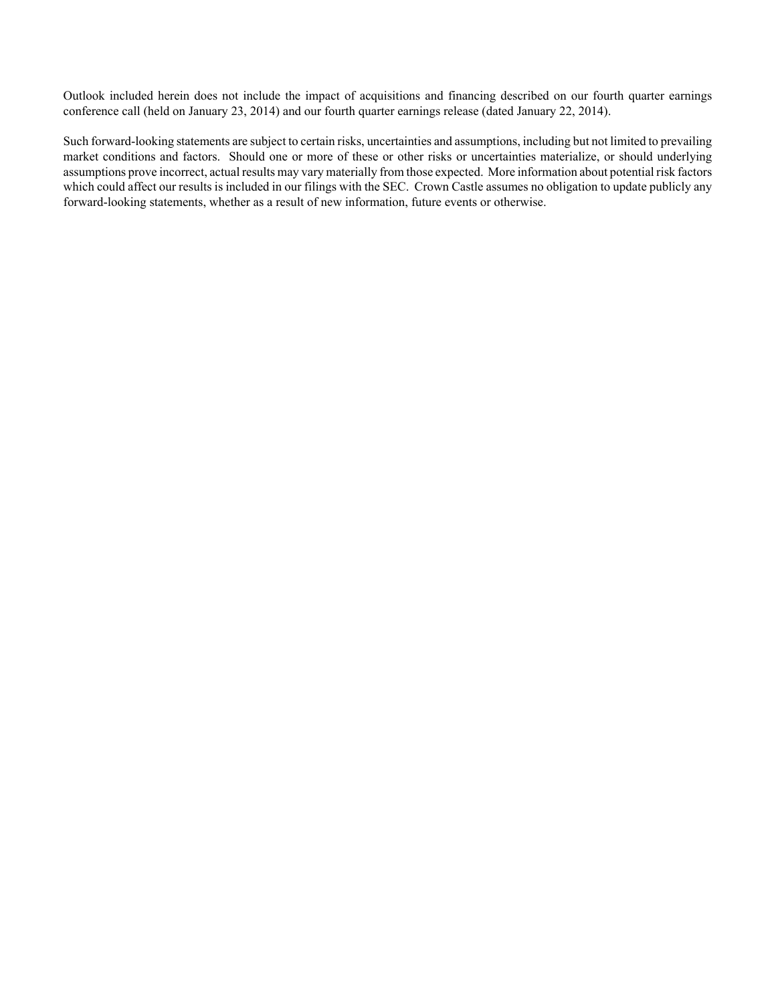Outlook included herein does not include the impact of acquisitions and financing described on our fourth quarter earnings conference call (held on January 23, 2014) and our fourth quarter earnings release (dated January 22, 2014).

Such forward-looking statements are subject to certain risks, uncertainties and assumptions, including but not limited to prevailing market conditions and factors. Should one or more of these or other risks or uncertainties materialize, or should underlying assumptions prove incorrect, actual results may vary materially from those expected. More information about potential risk factors which could affect our results is included in our filings with the SEC. Crown Castle assumes no obligation to update publicly any forward-looking statements, whether as a result of new information, future events or otherwise.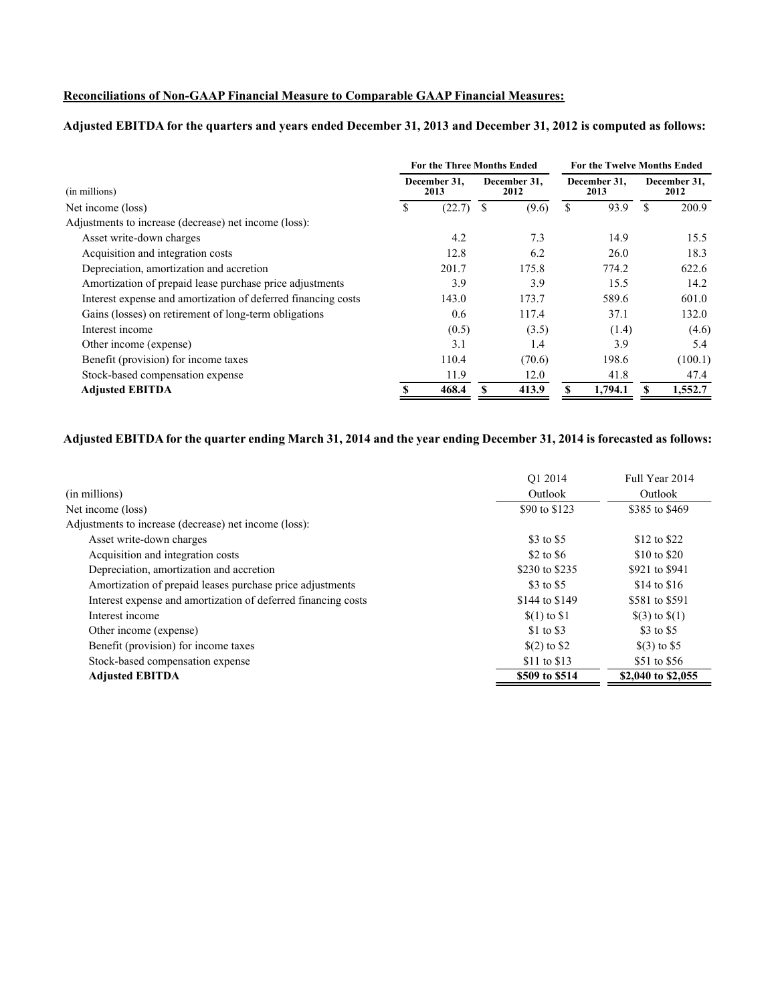# **Reconciliations of Non-GAAP Financial Measure to Comparable GAAP Financial Measures:**

# **Adjusted EBITDA for the quarters and years ended December 31, 2013 and December 31, 2012 is computed as follows:**

|                                                               | <b>For the Three Months Ended</b>            |        | <b>For the Twelve Months Ended</b> |        |   |         |                      |         |
|---------------------------------------------------------------|----------------------------------------------|--------|------------------------------------|--------|---|---------|----------------------|---------|
| (in millions)                                                 | December 31,<br>December 31,<br>2013<br>2012 |        | December 31.<br>2013               |        |   |         | December 31,<br>2012 |         |
| Net income (loss)                                             | S                                            | (22.7) | S                                  | (9.6)  | S | 93.9    | S                    | 200.9   |
| Adjustments to increase (decrease) net income (loss):         |                                              |        |                                    |        |   |         |                      |         |
| Asset write-down charges                                      |                                              | 4.2    |                                    | 7.3    |   | 14.9    |                      | 15.5    |
| Acquisition and integration costs                             |                                              | 12.8   |                                    | 6.2    |   | 26.0    |                      | 18.3    |
| Depreciation, amortization and accretion                      |                                              | 201.7  |                                    | 175.8  |   | 774.2   |                      | 622.6   |
| Amortization of prepaid lease purchase price adjustments      |                                              | 3.9    |                                    | 3.9    |   | 15.5    |                      | 14.2    |
| Interest expense and amortization of deferred financing costs |                                              | 143.0  |                                    | 173.7  |   | 589.6   |                      | 601.0   |
| Gains (losses) on retirement of long-term obligations         |                                              | 0.6    |                                    | 117.4  |   | 37.1    |                      | 132.0   |
| Interest income                                               |                                              | (0.5)  |                                    | (3.5)  |   | (1.4)   |                      | (4.6)   |
| Other income (expense)                                        |                                              | 3.1    |                                    | 1.4    |   | 3.9     |                      | 5.4     |
| Benefit (provision) for income taxes                          |                                              | 110.4  |                                    | (70.6) |   | 198.6   |                      | (100.1) |
| Stock-based compensation expense                              |                                              | 11.9   |                                    | 12.0   |   | 41.8    |                      | 47.4    |
| <b>Adjusted EBITDA</b>                                        |                                              | 468.4  |                                    | 413.9  |   | 1,794.1 |                      | 1,552.7 |

# **Adjusted EBITDA for the quarter ending March 31, 2014 and the year ending December 31, 2014 is forecasted as follows:**

|                                                               | O1 2014        | Full Year 2014     |
|---------------------------------------------------------------|----------------|--------------------|
| (in millions)                                                 | Outlook        | Outlook            |
| Net income (loss)                                             | \$90 to \$123  | \$385 to \$469     |
| Adjustments to increase (decrease) net income (loss):         |                |                    |
| Asset write-down charges                                      | \$3 to \$5     | \$12 to \$22       |
| Acquisition and integration costs                             | \$2 to \$6     | \$10 to \$20       |
| Depreciation, amortization and accretion                      | \$230 to \$235 | \$921 to \$941     |
| Amortization of prepaid leases purchase price adjustments     | \$3 to \$5     | $$14$ to $$16$     |
| Interest expense and amortization of deferred financing costs | \$144 to \$149 | \$581 to \$591     |
| Interest income                                               | $(1)$ to \$1   | $\$(3)$ to $\$(1)$ |
| Other income (expense)                                        | \$1 to \$3     | \$3 to \$5         |
| Benefit (provision) for income taxes                          | $(2)$ to $$2$  | $(3)$ to \$5       |
| Stock-based compensation expense                              | \$11 to \$13   | \$51 to \$56       |
| <b>Adjusted EBITDA</b>                                        | \$509 to \$514 | \$2,040 to \$2,055 |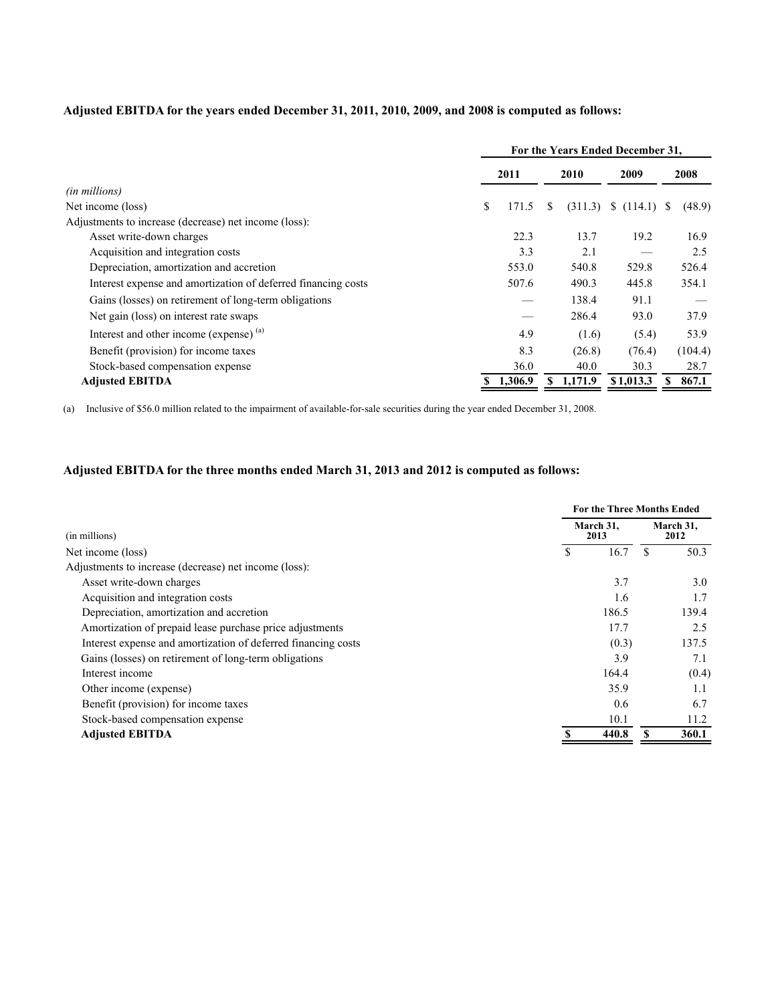# **Adjusted EBITDA for the years ended December 31, 2011, 2010, 2009, and 2008 is computed as follows:**

|                                                               | For the Years Ended December 31, |         |    |         |              |  |         |
|---------------------------------------------------------------|----------------------------------|---------|----|---------|--------------|--|---------|
|                                                               |                                  | 2011    |    | 2010    | 2009         |  | 2008    |
| (in millions)                                                 |                                  |         |    |         |              |  |         |
| Net income (loss)                                             | \$                               | 171.5   | S  | (311.3) | \$(114.1) \$ |  | (48.9)  |
| Adjustments to increase (decrease) net income (loss):         |                                  |         |    |         |              |  |         |
| Asset write-down charges                                      |                                  | 22.3    |    | 13.7    | 19.2         |  | 16.9    |
| Acquisition and integration costs                             |                                  | 3.3     |    | 2.1     |              |  | 2.5     |
| Depreciation, amortization and accretion                      |                                  | 553.0   |    | 540.8   | 529.8        |  | 526.4   |
| Interest expense and amortization of deferred financing costs |                                  | 507.6   |    | 490.3   | 445.8        |  | 354.1   |
| Gains (losses) on retirement of long-term obligations         |                                  |         |    | 138.4   | 91.1         |  |         |
| Net gain (loss) on interest rate swaps                        |                                  |         |    | 286.4   | 93.0         |  | 37.9    |
| Interest and other income (expense) (a)                       |                                  | 4.9     |    | (1.6)   | (5.4)        |  | 53.9    |
| Benefit (provision) for income taxes                          |                                  | 8.3     |    | (26.8)  | (76.4)       |  | (104.4) |
| Stock-based compensation expense                              |                                  | 36.0    |    | 40.0    | 30.3         |  | 28.7    |
| <b>Adjusted EBITDA</b>                                        |                                  | 1,306.9 | S. | 1,171.9 | \$1,013.3    |  | 867.1   |

(a) Inclusive of \$56.0 million related to the impairment of available-for-sale securities during the year ended December 31, 2008.

# **Adjusted EBITDA for the three months ended March 31, 2013 and 2012 is computed as follows:**

|                                                               |  | <b>For the Three Months Ended</b> |                   |       |  |  |  |
|---------------------------------------------------------------|--|-----------------------------------|-------------------|-------|--|--|--|
| (in millions)                                                 |  | March 31.<br>2013                 | March 31,<br>2012 |       |  |  |  |
| Net income (loss)                                             |  | 16.7                              | S                 | 50.3  |  |  |  |
| Adjustments to increase (decrease) net income (loss):         |  |                                   |                   |       |  |  |  |
| Asset write-down charges                                      |  | 3.7                               |                   | 3.0   |  |  |  |
| Acquisition and integration costs                             |  | 1.6                               |                   | 1.7   |  |  |  |
| Depreciation, amortization and accretion                      |  | 186.5                             |                   | 139.4 |  |  |  |
| Amortization of prepaid lease purchase price adjustments      |  | 17.7                              |                   | 2.5   |  |  |  |
| Interest expense and amortization of deferred financing costs |  | (0.3)                             |                   | 137.5 |  |  |  |
| Gains (losses) on retirement of long-term obligations         |  | 3.9                               |                   | 7.1   |  |  |  |
| Interest income                                               |  | 164.4                             |                   | (0.4) |  |  |  |
| Other income (expense)                                        |  | 35.9                              |                   | 1.1   |  |  |  |
| Benefit (provision) for income taxes                          |  | 0.6                               |                   | 6.7   |  |  |  |
| Stock-based compensation expense                              |  | 10.1                              |                   | 11.2  |  |  |  |
| <b>Adjusted EBITDA</b>                                        |  | 440.8                             |                   | 360.1 |  |  |  |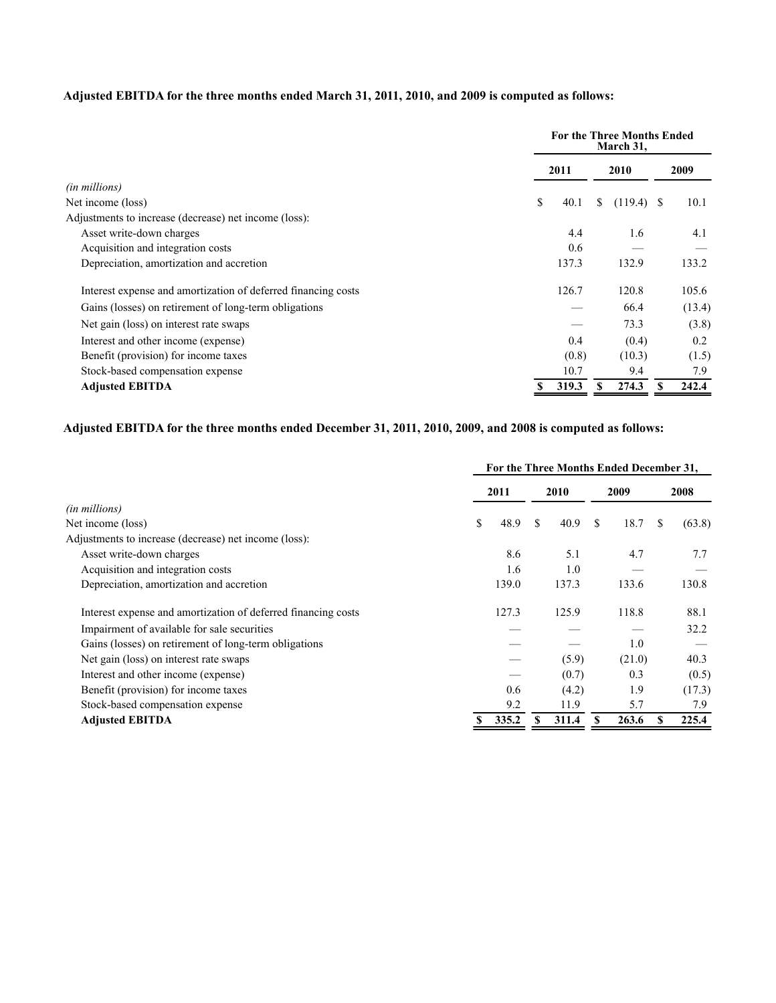# **Adjusted EBITDA for the three months ended March 31, 2011, 2010, and 2009 is computed as follows:**

|                                                               |            | <b>For the Three Months Ended</b><br>March 31, |        |  |  |  |  |
|---------------------------------------------------------------|------------|------------------------------------------------|--------|--|--|--|--|
|                                                               | 2011       | 2010                                           | 2009   |  |  |  |  |
| (in millions)                                                 |            |                                                |        |  |  |  |  |
| Net income (loss)                                             | \$<br>40.1 | S.<br>$(119.4)$ \$                             | 10.1   |  |  |  |  |
| Adjustments to increase (decrease) net income (loss):         |            |                                                |        |  |  |  |  |
| Asset write-down charges                                      | 4.4        | 1.6                                            | 4.1    |  |  |  |  |
| Acquisition and integration costs                             | 0.6        |                                                |        |  |  |  |  |
| Depreciation, amortization and accretion                      | 137.3      | 132.9                                          | 133.2  |  |  |  |  |
| Interest expense and amortization of deferred financing costs | 126.7      | 120.8                                          | 105.6  |  |  |  |  |
| Gains (losses) on retirement of long-term obligations         |            | 66.4                                           | (13.4) |  |  |  |  |
| Net gain (loss) on interest rate swaps                        |            | 73.3                                           | (3.8)  |  |  |  |  |
| Interest and other income (expense)                           | 0.4        | (0.4)                                          | 0.2    |  |  |  |  |
| Benefit (provision) for income taxes                          | (0.8)      | (10.3)                                         | (1.5)  |  |  |  |  |
| Stock-based compensation expense                              | 10.7       | 9.4                                            | 7.9    |  |  |  |  |
| <b>Adjusted EBITDA</b>                                        | 319.3      | 274.3                                          | 242.4  |  |  |  |  |

# **Adjusted EBITDA for the three months ended December 31, 2011, 2010, 2009, and 2008 is computed as follows:**

|                                                               | For the Three Months Ended December 31, |     |       |     |        |    |        |  |
|---------------------------------------------------------------|-----------------------------------------|-----|-------|-----|--------|----|--------|--|
|                                                               | 2011                                    |     | 2010  |     | 2009   |    | 2008   |  |
| (in millions)                                                 |                                         |     |       |     |        |    |        |  |
| Net income (loss)                                             | \$<br>48.9                              | \$. | 40.9  | \$. | 18.7   | S. | (63.8) |  |
| Adjustments to increase (decrease) net income (loss):         |                                         |     |       |     |        |    |        |  |
| Asset write-down charges                                      | 8.6                                     |     | 5.1   |     | 4.7    |    | 7.7    |  |
| Acquisition and integration costs                             | 1.6                                     |     | 1.0   |     |        |    |        |  |
| Depreciation, amortization and accretion                      | 139.0                                   |     | 137.3 |     | 133.6  |    | 130.8  |  |
| Interest expense and amortization of deferred financing costs | 127.3                                   |     | 125.9 |     | 118.8  |    | 88.1   |  |
| Impairment of available for sale securities                   |                                         |     |       |     |        |    | 32.2   |  |
| Gains (losses) on retirement of long-term obligations         |                                         |     |       |     | 1.0    |    |        |  |
| Net gain (loss) on interest rate swaps                        |                                         |     | (5.9) |     | (21.0) |    | 40.3   |  |
| Interest and other income (expense)                           |                                         |     | (0.7) |     | 0.3    |    | (0.5)  |  |
| Benefit (provision) for income taxes                          | 0.6                                     |     | (4.2) |     | 1.9    |    | (17.3) |  |
| Stock-based compensation expense                              | 9.2                                     |     | 11.9  |     | 5.7    |    | 7.9    |  |
| <b>Adjusted EBITDA</b>                                        | 335.2                                   |     | 311.4 |     | 263.6  |    | 225.4  |  |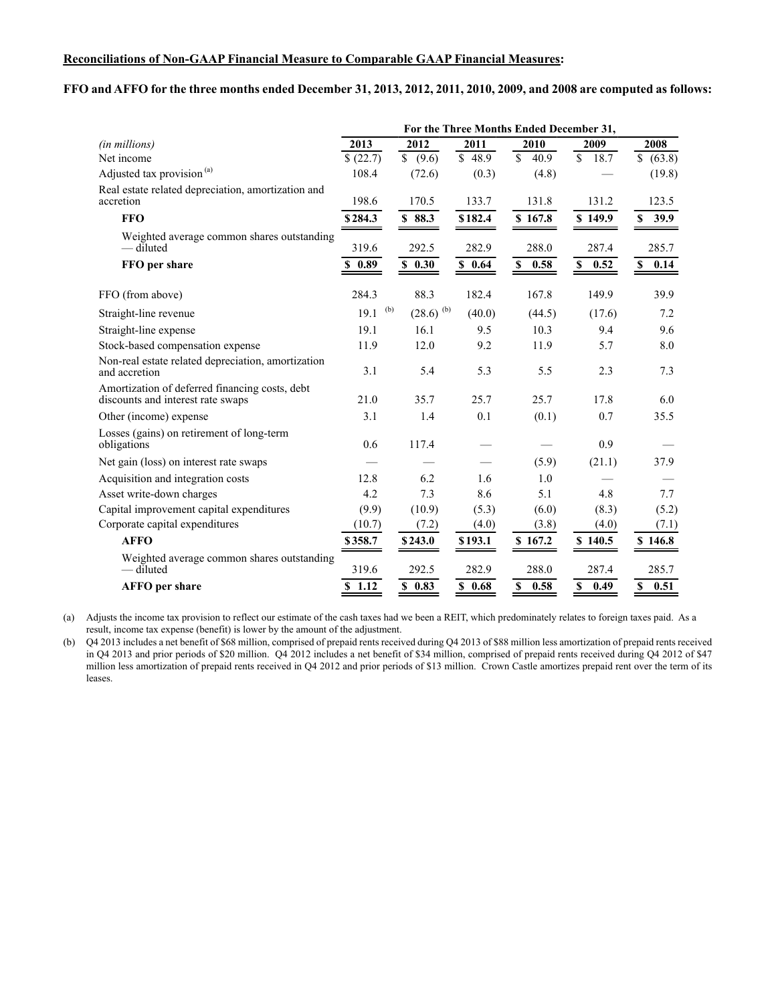#### **Reconciliations of Non-GAAP Financial Measure to Comparable GAAP Financial Measures:**

#### **FFO and AFFO for the three months ended December 31, 2013, 2012, 2011, 2010, 2009, and 2008 are computed as follows:**

|                                                                                     | For the Three Months Ended December 31, |                                |                      |                                  |                     |                  |  |  |
|-------------------------------------------------------------------------------------|-----------------------------------------|--------------------------------|----------------------|----------------------------------|---------------------|------------------|--|--|
| (in millions)                                                                       | $\sqrt{2013}$                           | 2012                           | 2011                 | 2010                             | 2009                | 2008             |  |  |
| Net income                                                                          | \$(22.7)                                | $\overline{\$}$ (9.6)          | $\overline{$}$ 48.9  | $\overline{\mathcal{S}}$<br>40.9 | \$<br>18.7          | \$ (63.8)        |  |  |
| Adjusted tax provision <sup>(a)</sup>                                               | 108.4                                   | (72.6)                         | (0.3)                | (4.8)                            |                     | (19.8)           |  |  |
| Real estate related depreciation, amortization and<br>accretion                     | 198.6                                   | 170.5                          | 133.7                | 131.8                            | 131.2               | 123.5            |  |  |
| <b>FFO</b>                                                                          | \$284.3                                 | \$88.3                         | \$182.4              | \$167.8                          | \$149.9             | 39.9<br>\$       |  |  |
| Weighted average common shares outstanding<br>— diluted                             | 319.6                                   | 292.5                          | 282.9                | 288.0                            | 287.4               | 285.7            |  |  |
| FFO per share                                                                       | 0.89                                    | \$0.30                         | $\overline{\$}$ 0.64 | \$<br>0.58                       | 0.52<br>\$          | 0.14<br><b>S</b> |  |  |
| FFO (from above)                                                                    | 284.3                                   | 88.3                           | 182.4                | 167.8                            | 149.9               | 39.9             |  |  |
| Straight-line revenue                                                               | 19.1                                    | (b)<br>$(28.6)$ <sup>(b)</sup> | (40.0)               | (44.5)                           | (17.6)              | 7.2              |  |  |
| Straight-line expense                                                               | 19.1                                    | 16.1                           | 9.5                  | 10.3                             | 9.4                 | 9.6              |  |  |
| Stock-based compensation expense                                                    | 11.9                                    | 12.0                           | 9.2                  | 11.9                             | 5.7                 | 8.0              |  |  |
| Non-real estate related depreciation, amortization<br>and accretion                 | 3.1                                     | 5.4                            | 5.3                  | 5.5                              | 2.3                 | 7.3              |  |  |
| Amortization of deferred financing costs, debt<br>discounts and interest rate swaps | 21.0                                    | 35.7                           | 25.7                 | 25.7                             | 17.8                | 6.0              |  |  |
| Other (income) expense                                                              | 3.1                                     | 1.4                            | 0.1                  | (0.1)                            | 0.7                 | 35.5             |  |  |
| Losses (gains) on retirement of long-term<br>obligations                            | 0.6                                     | 117.4                          |                      |                                  | 0.9                 |                  |  |  |
| Net gain (loss) on interest rate swaps                                              |                                         |                                |                      | (5.9)                            | (21.1)              | 37.9             |  |  |
| Acquisition and integration costs                                                   | 12.8                                    | 6.2                            | 1.6                  | 1.0                              |                     |                  |  |  |
| Asset write-down charges                                                            | 4.2                                     | 7.3                            | 8.6                  | 5.1                              | 4.8                 | 7.7              |  |  |
| Capital improvement capital expenditures                                            | (9.9)                                   | (10.9)                         | (5.3)                | (6.0)                            | (8.3)               | (5.2)            |  |  |
| Corporate capital expenditures                                                      | (10.7)                                  | (7.2)                          | (4.0)                | (3.8)                            | (4.0)               | (7.1)            |  |  |
| <b>AFFO</b>                                                                         | \$358.7                                 | \$243.0                        | \$193.1              | \$167.2                          | \$140.5             | \$146.8          |  |  |
| Weighted average common shares outstanding<br>— diluted                             | 319.6                                   | 292.5                          | 282.9                | 288.0                            | 287.4               | 285.7            |  |  |
| <b>AFFO</b> per share                                                               | \$1.12                                  | \$0.83                         | \$0.68               | $\mathbb S$<br>0.58              | $\mathbf S$<br>0.49 | \$<br>0.51       |  |  |

(a) Adjusts the income tax provision to reflect our estimate of the cash taxes had we been a REIT, which predominately relates to foreign taxes paid. As a result, income tax expense (benefit) is lower by the amount of the adjustment.

(b) Q4 2013 includes a net benefit of \$68 million, comprised of prepaid rents received during Q4 2013 of \$88 million less amortization of prepaid rents received in Q4 2013 and prior periods of \$20 million. Q4 2012 includes a net benefit of \$34 million, comprised of prepaid rents received during Q4 2012 of \$47 million less amortization of prepaid rents received in Q4 2012 and prior periods of \$13 million. Crown Castle amortizes prepaid rent over the term of its leases.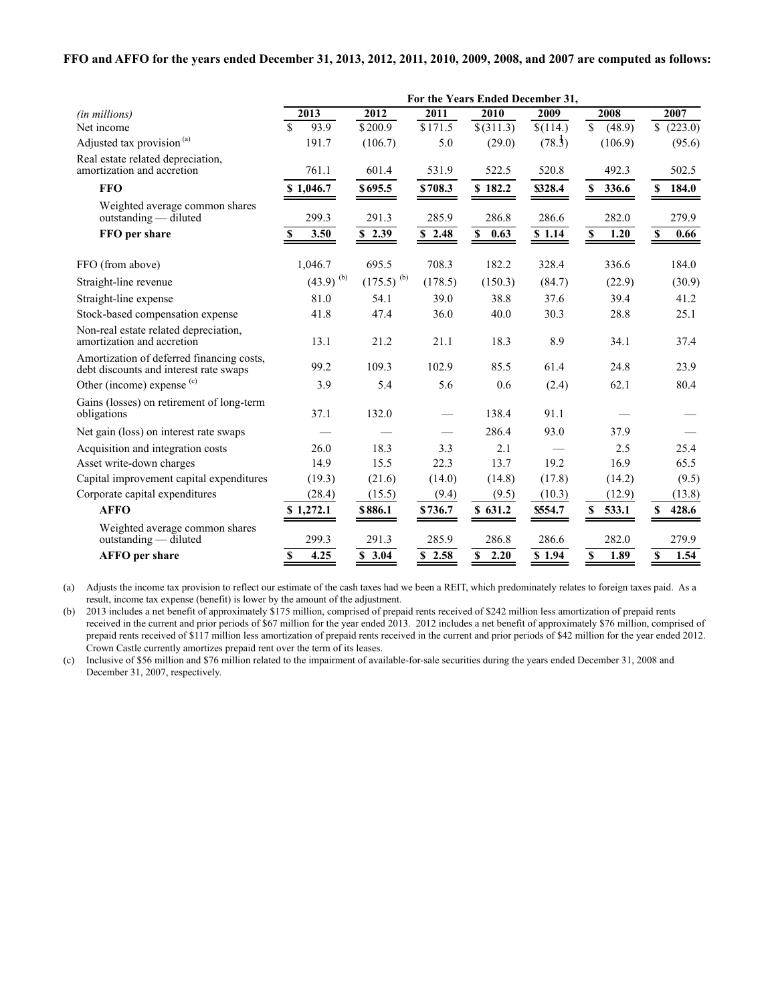#### **FFO and AFFO for the years ended December 31, 2013, 2012, 2011, 2010, 2009, 2008, and 2007 are computed as follows:**

|                                                                                     | For the Years Ended December 31,  |                     |                    |                   |                     |                                    |                     |
|-------------------------------------------------------------------------------------|-----------------------------------|---------------------|--------------------|-------------------|---------------------|------------------------------------|---------------------|
| (in millions)                                                                       | 2013                              | 2012                | 2011               | 2010              | 2009                | 2008                               | 2007                |
| Net income                                                                          | $\mathbf{\hat{S}}$<br>93.9        | \$200.9             | \$171.5            | $\sqrt{$(311.3)}$ | $\sqrt{(114.)}$     | $\overline{\mathcal{S}}$<br>(48.9) | $\sqrt{223.0}$      |
| Adjusted tax provision <sup>(a)</sup>                                               | 191.7                             | (106.7)             | 5.0                | (29.0)            | (78.3)              | (106.9)                            | (95.6)              |
| Real estate related depreciation,<br>amortization and accretion                     | 761.1                             | 601.4               | 531.9              | 522.5             | 520.8               | 492.3                              | 502.5               |
| <b>FFO</b>                                                                          | \$1,046.7                         | \$695.5             | \$708.3            | \$182.2           | \$328.4             | 336.6<br>$\mathbf{s}$              | 184.0<br>S          |
| Weighted average common shares<br>outstanding — diluted                             | 299.3                             | 291.3               | 285.9              | 286.8             | 286.6               | 282.0                              | 279.9               |
| FFO per share                                                                       | 3.50<br>S                         | \$2.39              | \$2.48             | \$ 0.63           | \$1.14              | S<br>1.20                          | $\mathbb S$<br>0.66 |
| FFO (from above)                                                                    | 1,046.7                           | 695.5               | 708.3              | 182.2             | 328.4               | 336.6                              | 184.0               |
| Straight-line revenue                                                               | $(43.9)$ <sup>(b)</sup>           | $(175.5)^{(b)}$     | (178.5)            | (150.3)           | (84.7)              | (22.9)                             | (30.9)              |
| Straight-line expense                                                               | 81.0                              | 54.1                | 39.0               | 38.8              | 37.6                | 39.4                               | 41.2                |
| Stock-based compensation expense                                                    | 41.8                              | 47.4                | 36.0               | 40.0              | 30.3                | 28.8                               | 25.1                |
| Non-real estate related depreciation,<br>amortization and accretion                 | 13.1                              | 21.2                | 21.1               | 18.3              | 8.9                 | 34.1                               | 37.4                |
| Amortization of deferred financing costs,<br>debt discounts and interest rate swaps | 99.2                              | 109.3               | 102.9              | 85.5              | 61.4                | 24.8                               | 23.9                |
| Other (income) expense $(c)$                                                        | 3.9                               | 5.4                 | 5.6                | 0.6               | (2.4)               | 62.1                               | 80.4                |
| Gains (losses) on retirement of long-term<br>obligations                            | 37.1                              | 132.0               |                    | 138.4             | 91.1                |                                    |                     |
| Net gain (loss) on interest rate swaps                                              |                                   |                     |                    | 286.4             | 93.0                | 37.9                               |                     |
| Acquisition and integration costs                                                   | 26.0                              | 18.3                | 3.3                | 2.1               |                     | 2.5                                | 25.4                |
| Asset write-down charges                                                            | 14.9                              | 15.5                | 22.3               | 13.7              | 19.2                | 16.9                               | 65.5                |
| Capital improvement capital expenditures                                            | (19.3)                            | (21.6)              | (14.0)             | (14.8)            | (17.8)              | (14.2)                             | (9.5)               |
| Corporate capital expenditures                                                      | (28.4)                            | (15.5)              | (9.4)              | (9.5)             | (10.3)              | (12.9)                             | (13.8)              |
| <b>AFFO</b>                                                                         | \$1,272.1                         | \$886.1             | \$736.7            | \$631.2           | \$554.7             | 533.1<br>S                         | 428.6<br>S          |
| Weighted average common shares<br>$outstanding$ - diluted                           | 299.3                             | 291.3               | 285.9              | 286.8             | 286.6               | 282.0                              | 279.9               |
| <b>AFFO</b> per share                                                               | 4.25<br>$\boldsymbol{\mathsf{s}}$ | $\overline{S}$ 3.04 | $\overline{)2.58}$ | \$2.20            | $\overline{S}$ 1.94 | $\mathbf S$<br>1.89                | S<br>1.54           |

(a) Adjusts the income tax provision to reflect our estimate of the cash taxes had we been a REIT, which predominately relates to foreign taxes paid. As a result, income tax expense (benefit) is lower by the amount of the adjustment.

(b) 2013 includes a net benefit of approximately \$175 million, comprised of prepaid rents received of \$242 million less amortization of prepaid rents received in the current and prior periods of \$67 million for the year ended 2013. 2012 includes a net benefit of approximately \$76 million, comprised of prepaid rents received of \$117 million less amortization of prepaid rents received in the current and prior periods of \$42 million for the year ended 2012. Crown Castle currently amortizes prepaid rent over the term of its leases.

(c) Inclusive of \$56 million and \$76 million related to the impairment of available-for-sale securities during the years ended December 31, 2008 and December 31, 2007, respectively.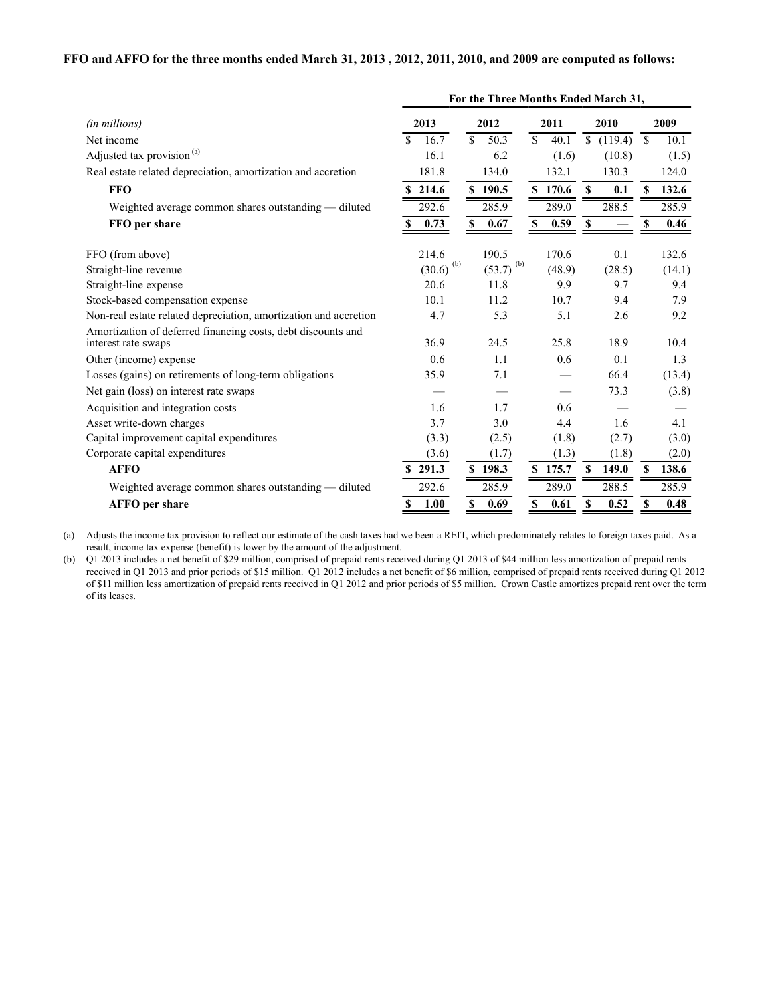#### **FFO and AFFO for the three months ended March 31, 2013 , 2012, 2011, 2010, and 2009 are computed as follows:**

|                                                                                     | For the Three Months Ended March 31, |                       |                     |                         |                       |
|-------------------------------------------------------------------------------------|--------------------------------------|-----------------------|---------------------|-------------------------|-----------------------|
| (in millions)                                                                       | 2013                                 | 2012                  | 2011                | 2010                    | 2009                  |
| Net income                                                                          | $\mathbf S$<br>16.7                  | $\mathcal{S}$<br>50.3 | $\mathbf S$<br>40.1 | $\mathbb{S}$<br>(119.4) | $\mathcal{S}$<br>10.1 |
| Adjusted tax provision <sup>(a)</sup>                                               | 16.1                                 | 6.2                   | (1.6)               | (10.8)                  | (1.5)                 |
| Real estate related depreciation, amortization and accretion                        | 181.8                                | 134.0                 | 132.1               | 130.3                   | 124.0                 |
| <b>FFO</b>                                                                          | \$214.6                              | \$190.5               | \$170.6             | 0.1<br>S                | 132.6<br>S            |
| Weighted average common shares outstanding - diluted                                | 292.6                                | 285.9                 | 289.0               | 288.5                   | 285.9                 |
| FFO per share                                                                       | 0.73                                 | 0.67<br>\$            | 0.59<br>\$          | $\mathbf{s}$            | 0.46<br>S             |
| FFO (from above)                                                                    | 214.6                                | 190.5                 | 170.6               | 0.1                     | 132.6                 |
| Straight-line revenue                                                               | (b)<br>(30.6)                        | $(53.7)^{(b)}$        | (48.9)              | (28.5)                  | (14.1)                |
| Straight-line expense                                                               | 20.6                                 | 11.8                  | 9.9                 | 9.7                     | 9.4                   |
| Stock-based compensation expense                                                    | 10.1                                 | 11.2                  | 10.7                | 9.4                     | 7.9                   |
| Non-real estate related depreciation, amortization and accretion                    | 4.7                                  | 5.3                   | 5.1                 | 2.6                     | 9.2                   |
| Amortization of deferred financing costs, debt discounts and<br>interest rate swaps | 36.9                                 | 24.5                  | 25.8                | 18.9                    | 10.4                  |
| Other (income) expense                                                              | 0.6                                  | 1.1                   | 0.6                 | 0.1                     | 1.3                   |
| Losses (gains) on retirements of long-term obligations                              | 35.9                                 | 7.1                   |                     | 66.4                    | (13.4)                |
| Net gain (loss) on interest rate swaps                                              |                                      |                       |                     | 73.3                    | (3.8)                 |
| Acquisition and integration costs                                                   | 1.6                                  | 1.7                   | 0.6                 |                         |                       |
| Asset write-down charges                                                            | 3.7                                  | 3.0                   | 4.4                 | 1.6                     | 4.1                   |
| Capital improvement capital expenditures                                            | (3.3)                                | (2.5)                 | (1.8)               | (2.7)                   | (3.0)                 |
| Corporate capital expenditures                                                      | (3.6)                                | (1.7)                 | (1.3)               | (1.8)                   | (2.0)                 |
| <b>AFFO</b>                                                                         | \$291.3                              | \$198.3               | \$175.7             | S<br>149.0              | 138.6<br>S            |
| Weighted average common shares outstanding - diluted                                | 292.6                                | 285.9                 | 289.0               | 288.5                   | 285.9                 |
| <b>AFFO</b> per share                                                               | 1.00<br>\$                           | 0.69<br>\$            | 0.61<br>\$          | 0.52<br>\$              | 0.48<br>\$            |

(a) Adjusts the income tax provision to reflect our estimate of the cash taxes had we been a REIT, which predominately relates to foreign taxes paid. As a result, income tax expense (benefit) is lower by the amount of the adjustment.

(b) Q1 2013 includes a net benefit of \$29 million, comprised of prepaid rents received during Q1 2013 of \$44 million less amortization of prepaid rents received in Q1 2013 and prior periods of \$15 million. Q1 2012 includes a net benefit of \$6 million, comprised of prepaid rents received during Q1 2012 of \$11 million less amortization of prepaid rents received in Q1 2012 and prior periods of \$5 million. Crown Castle amortizes prepaid rent over the term of its leases.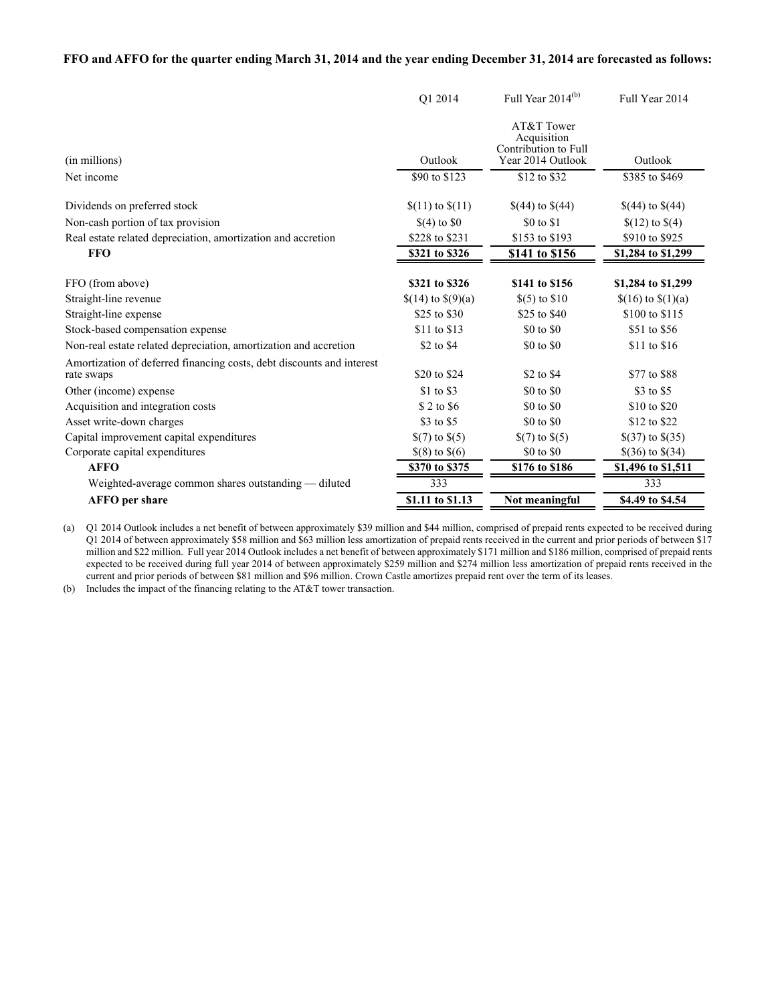#### **FFO and AFFO for the quarter ending March 31, 2014 and the year ending December 31, 2014 are forecasted as follows:**

|                                                                                                   | O1 2014                          | Full Year $2014^{(b)}$                                                 | Full Year 2014                                 |
|---------------------------------------------------------------------------------------------------|----------------------------------|------------------------------------------------------------------------|------------------------------------------------|
| (in millions)                                                                                     | Outlook                          | AT&T Tower<br>Acquisition<br>Contribution to Full<br>Year 2014 Outlook | Outlook                                        |
| Net income                                                                                        | \$90 to \$123                    | \$12 to \$32                                                           | \$385 to \$469                                 |
| Dividends on preferred stock                                                                      | $$(11)$ to $$(11)$               | $$(44)$ to $$(44)$                                                     | $$(44)$ to $$(44)$                             |
| Non-cash portion of tax provision<br>Real estate related depreciation, amortization and accretion | $$(4)$ to $$0$<br>\$228 to \$231 | \$0 to \$1<br>\$153 to \$193                                           | $\{(12) \text{ to } \$(4)\}$<br>\$910 to \$925 |
| <b>FFO</b>                                                                                        | \$321 to \$326                   | \$141 to \$156                                                         | \$1,284 to \$1,299                             |
|                                                                                                   |                                  |                                                                        |                                                |
| FFO (from above)                                                                                  | \$321 to \$326                   | \$141 to \$156                                                         | \$1,284 to \$1,299                             |
| Straight-line revenue                                                                             | \$(14) to $\$(9)(a)$             | $$(5)$ to $$10$                                                        | $(16)$ to $(1)(a)$                             |
| Straight-line expense                                                                             | \$25 to \$30                     | \$25 to \$40                                                           | \$100 to \$115                                 |
| Stock-based compensation expense                                                                  | \$11 to \$13                     | \$0 to \$0                                                             | \$51 to \$56                                   |
| Non-real estate related depreciation, amortization and accretion                                  | \$2 to \$4                       | \$0 to \$0                                                             | \$11 to \$16                                   |
| Amortization of deferred financing costs, debt discounts and interest<br>rate swaps               | \$20 to \$24                     | \$2 to \$4                                                             | \$77 to \$88                                   |
| Other (income) expense                                                                            | \$1 to \$3                       | \$0 to \$0                                                             | \$3 to \$5                                     |
| Acquisition and integration costs                                                                 | \$ 2 to \$6                      | \$0 to \$0                                                             | \$10 to \$20                                   |
| Asset write-down charges                                                                          | \$3 to \$5                       | \$0 to \$0                                                             | \$12 to \$22                                   |
| Capital improvement capital expenditures                                                          | $\S(7)$ to $\S(5)$               | $(7)$ to $(5)$                                                         | \$(37) to \$(35)                               |
| Corporate capital expenditures                                                                    | $$(8)$ to $$(6)$                 | \$0 to \$0                                                             | $$(36)$ to $$(34)$                             |
| <b>AFFO</b>                                                                                       | \$370 to \$375                   | \$176 to \$186                                                         | \$1,496 to \$1,511                             |
| Weighted-average common shares outstanding — diluted                                              | 333                              |                                                                        | 333                                            |
| <b>AFFO</b> per share                                                                             | \$1.11 to \$1.13                 | Not meaningful                                                         | \$4.49 to \$4.54                               |

(a) Q1 2014 Outlook includes a net benefit of between approximately \$39 million and \$44 million, comprised of prepaid rents expected to be received during Q1 2014 of between approximately \$58 million and \$63 million less amortization of prepaid rents received in the current and prior periods of between \$17 million and \$22 million. Full year 2014 Outlook includes a net benefit of between approximately \$171 million and \$186 million, comprised of prepaid rents expected to be received during full year 2014 of between approximately \$259 million and \$274 million less amortization of prepaid rents received in the current and prior periods of between \$81 million and \$96 million. Crown Castle amortizes prepaid rent over the term of its leases.

(b) Includes the impact of the financing relating to the AT&T tower transaction.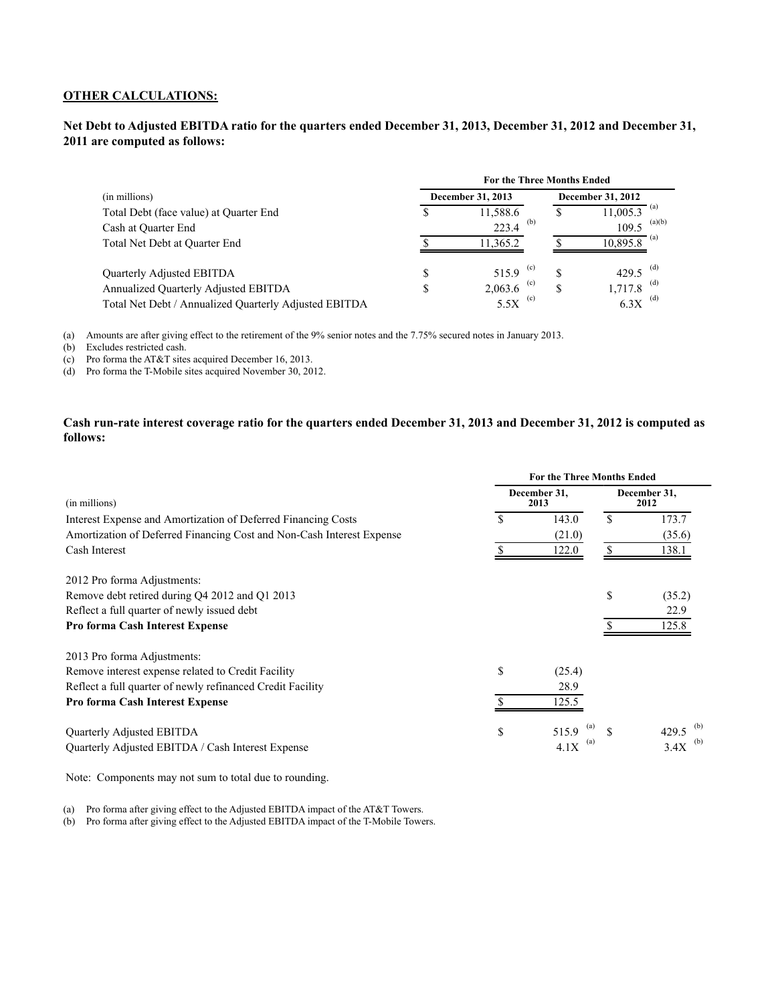#### **OTHER CALCULATIONS:**

## **Net Debt to Adjusted EBITDA ratio for the quarters ended December 31, 2013, December 31, 2012 and December 31, 2011 are computed as follows:**

|                                                       |   | <b>For the Three Months Ended</b> |    |                          |
|-------------------------------------------------------|---|-----------------------------------|----|--------------------------|
| (in millions)                                         |   | December 31, 2013                 |    | <b>December 31, 2012</b> |
| Total Debt (face value) at Quarter End                |   | 11,588.6                          |    | ' (a)<br>11,005.3        |
| Cash at Quarter End                                   |   | (b)<br>223.4                      |    | (a)(b)<br>109.5          |
| Total Net Debt at Quarter End                         |   | 11,365.2                          |    | $-$ (a)<br>10.895.8      |
| Quarterly Adjusted EBITDA                             | S | 515.9 $(c)$                       | \$ | (d)<br>429.5             |
| Annualized Quarterly Adjusted EBITDA                  | S | (c)<br>2,063.6                    | S  | (d)<br>1,717.8           |
| Total Net Debt / Annualized Quarterly Adjusted EBITDA |   | (c)<br>5.5X                       |    | (d)<br>6.3X              |

(a) Amounts are after giving effect to the retirement of the 9% senior notes and the 7.75% secured notes in January 2013.

(b) Excludes restricted cash.

(c) Pro forma the AT&T sites acquired December 16, 2013.

(d) Pro forma the T-Mobile sites acquired November 30, 2012.

## **Cash run-rate interest coverage ratio for the quarters ended December 31, 2013 and December 31, 2012 is computed as follows:**

|                                                                       | <b>For the Three Months Ended</b> |                      |    |                      |  |  |  |  |
|-----------------------------------------------------------------------|-----------------------------------|----------------------|----|----------------------|--|--|--|--|
| (in millions)                                                         |                                   | December 31,<br>2013 |    | December 31,<br>2012 |  |  |  |  |
| Interest Expense and Amortization of Deferred Financing Costs         | S                                 | 143.0                | \$ | 173.7                |  |  |  |  |
| Amortization of Deferred Financing Cost and Non-Cash Interest Expense |                                   | (21.0)               |    | (35.6)               |  |  |  |  |
| Cash Interest                                                         |                                   | 122.0                |    | 138.1                |  |  |  |  |
| 2012 Pro forma Adjustments:                                           |                                   |                      |    |                      |  |  |  |  |
| Remove debt retired during Q4 2012 and Q1 2013                        |                                   |                      | \$ | (35.2)               |  |  |  |  |
| Reflect a full quarter of newly issued debt                           |                                   |                      |    | 22.9                 |  |  |  |  |
| Pro forma Cash Interest Expense                                       |                                   |                      |    | 125.8                |  |  |  |  |
| 2013 Pro forma Adjustments:                                           |                                   |                      |    |                      |  |  |  |  |
| Remove interest expense related to Credit Facility                    | \$                                | (25.4)               |    |                      |  |  |  |  |
| Reflect a full quarter of newly refinanced Credit Facility            |                                   | 28.9                 |    |                      |  |  |  |  |
| Pro forma Cash Interest Expense                                       |                                   | 125.5                |    |                      |  |  |  |  |
| Quarterly Adjusted EBITDA                                             | \$                                | 515.9                |    | 429.5                |  |  |  |  |
| Quarterly Adjusted EBITDA / Cash Interest Expense                     |                                   | (a)<br>4.1X          |    | (b)<br>3.4X          |  |  |  |  |

Note: Components may not sum to total due to rounding.

(a) Pro forma after giving effect to the Adjusted EBITDA impact of the AT&T Towers.

(b) Pro forma after giving effect to the Adjusted EBITDA impact of the T-Mobile Towers.